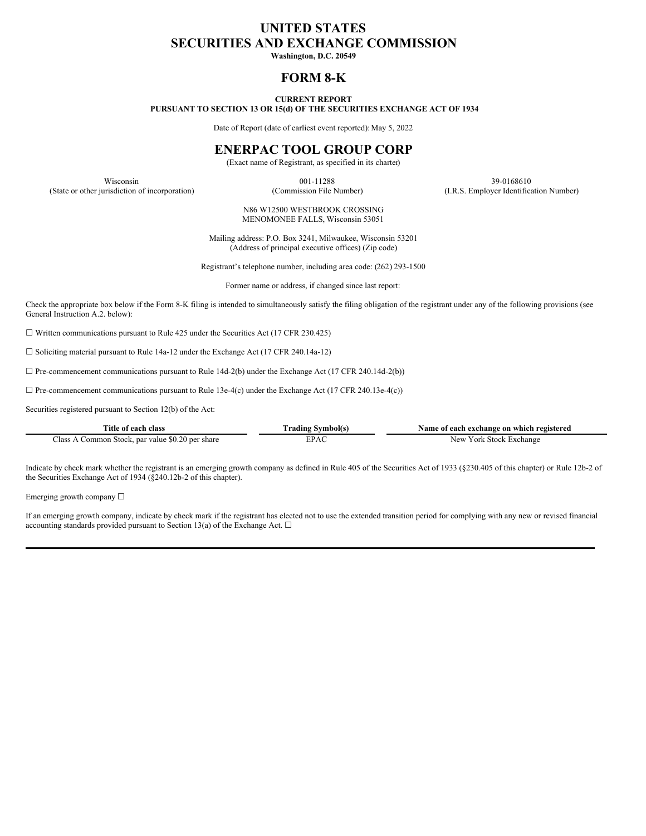# **UNITED STATES SECURITIES AND EXCHANGE COMMISSION**

**Washington, D.C. 20549**

# **FORM 8-K**

#### **CURRENT REPORT PURSUANT TO SECTION 13 OR 15(d) OF THE SECURITIES EXCHANGE ACT OF 1934**

Date of Report (date of earliest event reported): May 5, 2022

# **ENERPAC TOOL GROUP CORP**

(Exact name of Registrant, as specified in its charter)

Wisconsin 39-0168610 (State or other jurisdiction of incorporation) (Commission File Number) (I.R.S. Employer Identification Number)

> N86 W12500 WESTBROOK CROSSING MENOMONEE FALLS, Wisconsin 53051

Mailing address: P.O. Box 3241, Milwaukee, Wisconsin 53201 (Address of principal executive offices) (Zip code)

Registrant's telephone number, including area code: (262) 293-1500

Former name or address, if changed since last report:

Check the appropriate box below if the Form 8-K filing is intended to simultaneously satisfy the filing obligation of the registrant under any of the following provisions (see General Instruction A.2. below):

 $\Box$  Written communications pursuant to Rule 425 under the Securities Act (17 CFR 230.425)

☐ Soliciting material pursuant to Rule 14a-12 under the Exchange Act (17 CFR 240.14a-12)

 $\Box$  Pre-commencement communications pursuant to Rule 14d-2(b) under the Exchange Act (17 CFR 240.14d-2(b))

 $\Box$  Pre-commencement communications pursuant to Rule 13e-4(c) under the Exchange Act (17 CFR 240.13e-4(c))

Securities registered pursuant to Section 12(b) of the Act:

| Title of each class                              | Trading Svmbol(s) | Name of each exchange on which registered |
|--------------------------------------------------|-------------------|-------------------------------------------|
| Class A Common Stock, par value \$0.20 per share | EPAC              | New York Stock Exchange                   |

Indicate by check mark whether the registrant is an emerging growth company as defined in Rule 405 of the Securities Act of 1933 (§230.405 of this chapter) or Rule 12b-2 of the Securities Exchange Act of 1934 (§240.12b-2 of this chapter).

Emerging growth company ☐

If an emerging growth company, indicate by check mark if the registrant has elected not to use the extended transition period for complying with any new or revised financial accounting standards provided pursuant to Section 13(a) of the Exchange Act.  $\square$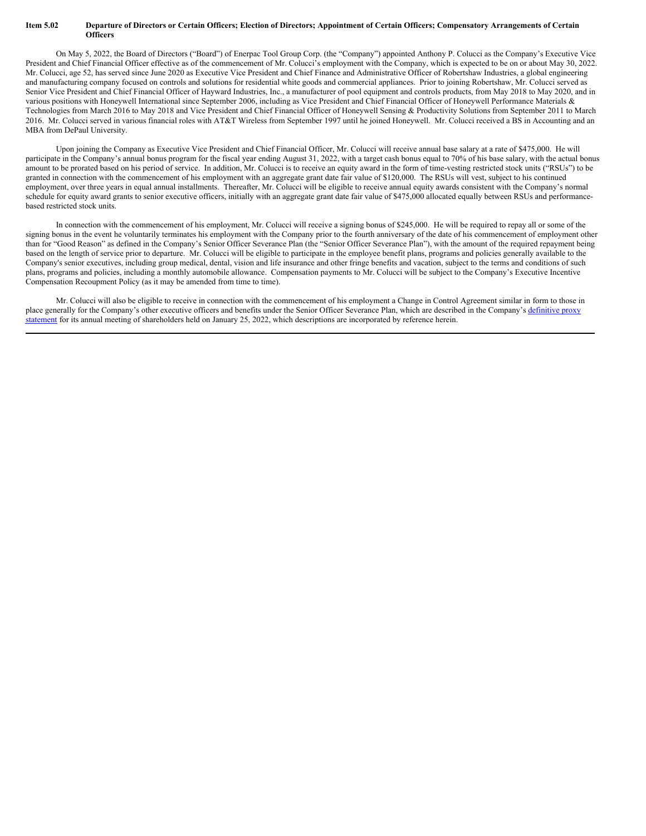#### Item 5.02 Departure of Directors or Certain Officers; Election of Directors; Appointment of Certain Officers; Compensatory Arrangements of Certain **Officers**

On May 5, 2022, the Board of Directors ("Board") of Enerpac Tool Group Corp. (the "Company") appointed Anthony P. Colucci as the Company's Executive Vice President and Chief Financial Officer effective as of the commencement of Mr. Colucci's employment with the Company, which is expected to be on or about May 30, 2022. Mr. Colucci, age 52, has served since June 2020 as Executive Vice President and Chief Finance and Administrative Officer of Robertshaw Industries, a global engineering and manufacturing company focused on controls and solutions for residential white goods and commercial appliances. Prior to joining Robertshaw, Mr. Colucci served as Senior Vice President and Chief Financial Officer of Hayward Industries, Inc., a manufacturer of pool equipment and controls products, from May 2018 to May 2020, and in various positions with Honeywell International since September 2006, including as Vice President and Chief Financial Officer of Honeywell Performance Materials & Technologies from March 2016 to May 2018 and Vice President and Chief Financial Officer of Honeywell Sensing & Productivity Solutions from September 2011 to March 2016. Mr. Colucci served in various financial roles with AT&T Wireless from September 1997 until he joined Honeywell. Mr. Colucci received a BS in Accounting and an MBA from DePaul University.

Upon joining the Company as Executive Vice President and Chief Financial Officer, Mr. Colucci will receive annual base salary at a rate of \$475,000. He will participate in the Company's annual bonus program for the fiscal year ending August 31, 2022, with a target cash bonus equal to 70% of his base salary, with the actual bonus amount to be prorated based on his period of service. In addition, Mr. Colucci is to receive an equity award in the form of time-vesting restricted stock units ("RSUs") to be granted in connection with the commencement of his employment with an aggregate grant date fair value of \$120,000. The RSUs will vest, subject to his continued employment, over three years in equal annual installments. Thereafter, Mr. Colucci will be eligible to receive annual equity awards consistent with the Company's normal schedule for equity award grants to senior executive officers, initially with an aggregate grant date fair value of \$475,000 allocated equally between RSUs and performancebased restricted stock units.

In connection with the commencement of his employment, Mr. Colucci will receive a signing bonus of \$245,000. He will be required to repay all or some of the signing bonus in the event he voluntarily terminates his employment with the Company prior to the fourth anniversary of the date of his commencement of employment other than for "Good Reason" as defined in the Company's Senior Officer Severance Plan (the "Senior Officer Severance Plan"), with the amount of the required repayment being based on the length of service prior to departure. Mr. Colucci will be eligible to participate in the employee benefit plans, programs and policies generally available to the Company's senior executives, including group medical, dental, vision and life insurance and other fringe benefits and vacation, subject to the terms and conditions of such plans, programs and policies, including a monthly automobile allowance. Compensation payments to Mr. Colucci will be subject to the Company's Executive Incentive Compensation Recoupment Policy (as it may be amended from time to time).

Mr. Colucci will also be eligible to receive in connection with the commencement of his employment a Change in Control Agreement similar in form to those in place generally for the Company's other executive officers and benefits under the Senior Officer Severance Plan, which are described in the Company's definitive proxy statement for its annual meeting of [shareholders](https://www.sec.gov/Archives/edgar/data/6955/000000695521000034/epacproxyfy2021.htm) held on January 25, 2022, which descriptions are incorporated by reference herein.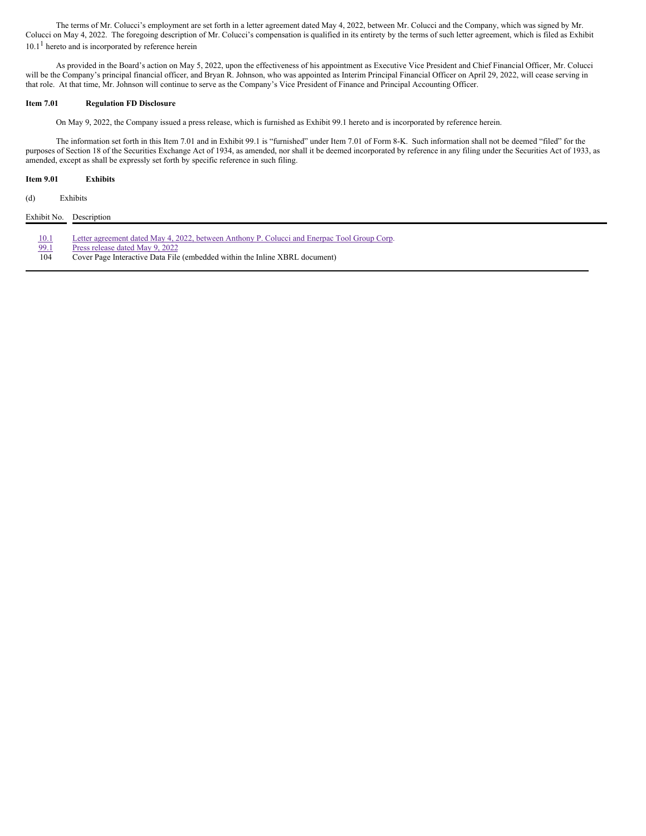The terms of Mr. Colucci's employment are set forth in a letter agreement dated May 4, 2022, between Mr. Colucci and the Company, which was signed by Mr. Colucci on May 4, 2022. The foregoing description of Mr. Colucci's compensation is qualified in its entirety by the terms of such letter agreement, which is filed as Exhibit 10.1<sup>1</sup> hereto and is incorporated by reference herein

As provided in the Board's action on May 5, 2022, upon the effectiveness of his appointment as Executive Vice President and Chief Financial Officer, Mr. Colucci will be the Company's principal financial officer, and Bryan R. Johnson, who was appointed as Interim Principal Financial Officer on April 29, 2022, will cease serving in that role. At that time, Mr. Johnson will continue to serve as the Company's Vice President of Finance and Principal Accounting Officer.

## **Item 7.01 Regulation FD Disclosure**

On May 9, 2022, the Company issued a press release, which is furnished as Exhibit 99.1 hereto and is incorporated by reference herein.

The information set forth in this Item 7.01 and in Exhibit 99.1 is "furnished" under Item 7.01 of Form 8-K. Such information shall not be deemed "filed" for the purposes of Section 18 of the Securities Exchange Act of 1934, as amended, nor shall it be deemed incorporated by reference in any filing under the Securities Act of 1933, as amended, except as shall be expressly set forth by specific reference in such filing.

## **Item 9.01 Exhibits**

(d) Exhibits

| Exhibit No. | Description                                                                                 |
|-------------|---------------------------------------------------------------------------------------------|
| <u>10.1</u> | Letter agreement dated May 4, 2022, between Anthony P. Colucci and Enerpac Tool Group Corp. |
| 99.1        | Press release dated May 9, 2022                                                             |
| 104         | Cover Page Interactive Data File (embedded within the Inline XBRL document)                 |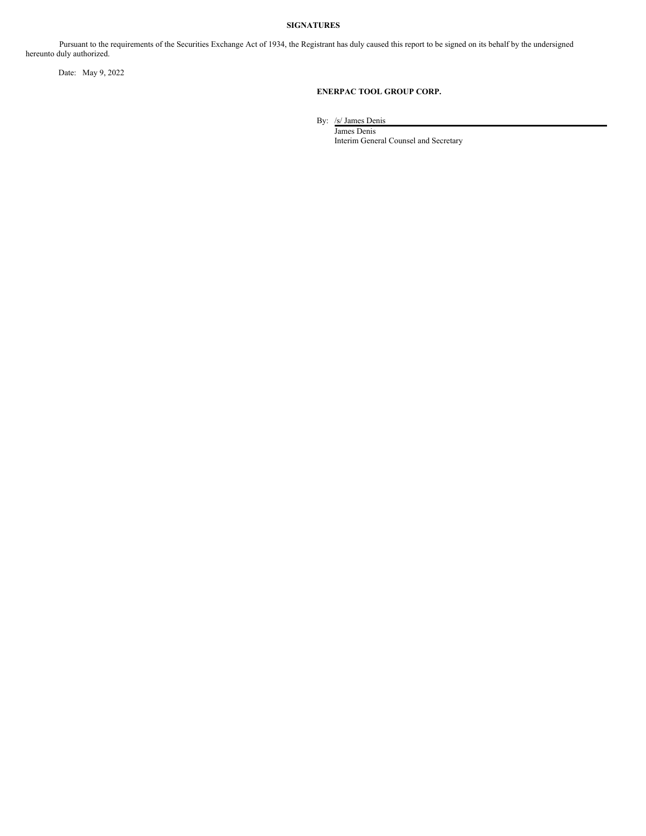# **SIGNATURES**

Pursuant to the requirements of the Securities Exchange Act of 1934, the Registrant has duly caused this report to be signed on its behalf by the undersigned hereunto duly authorized.

Date: May 9, 2022

## **ENERPAC TOOL GROUP CORP.**

By: /s/ James Denis

James Denis Interim General Counsel and Secretary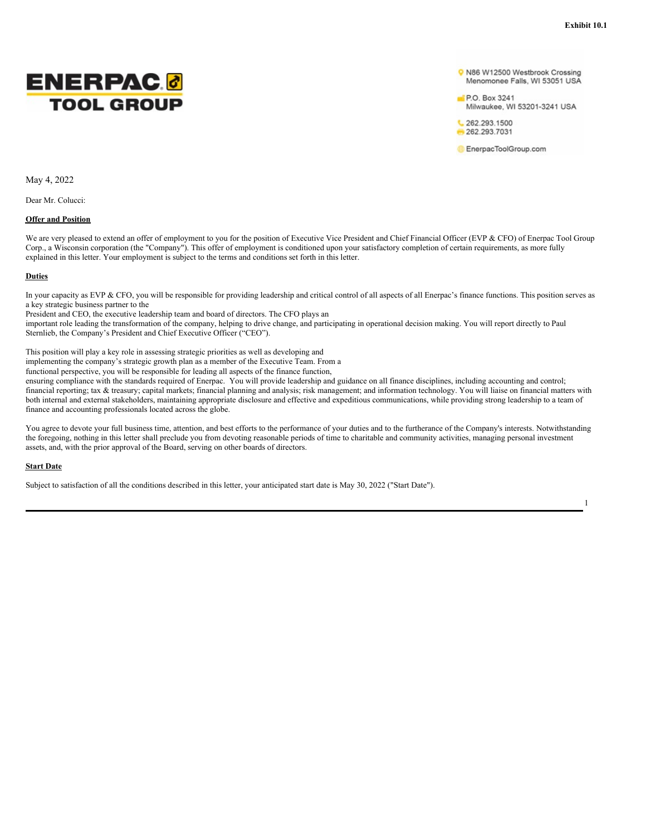1



O N86 W12500 Westbrook Crossing Menomonee Falls, WI 53051 USA

P.O. Box 3241 Milwaukee, WI 53201-3241 USA

↓ 262.293.1500 262.293.7031

EnerpacToolGroup.com

May 4, 2022

Dear Mr. Colucci:

#### **Offer and Position**

We are very pleased to extend an offer of employment to you for the position of Executive Vice President and Chief Financial Officer (EVP & CFO) of Enerpac Tool Group Corp., a Wisconsin corporation (the "Company"). This offer of employment is conditioned upon your satisfactory completion of certain requirements, as more fully explained in this letter. Your employment is subject to the terms and conditions set forth in this letter.

#### **Duties**

In your capacity as EVP & CFO, you will be responsible for providing leadership and critical control of all aspects of all Enerpac's finance functions. This position serves as a key strategic business partner to the

President and CEO, the executive leadership team and board of directors. The CFO plays an

important role leading the transformation of the company, helping to drive change, and participating in operational decision making. You will report directly to Paul Sternlieb, the Company's President and Chief Executive Officer ("CEO").

This position will play a key role in assessing strategic priorities as well as developing and

implementing the company's strategic growth plan as a member of the Executive Team. From a

functional perspective, you will be responsible for leading all aspects of the finance function,

ensuring compliance with the standards required of Enerpac. You will provide leadership and guidance on all finance disciplines, including accounting and control; financial reporting; tax & treasury; capital markets; financial planning and analysis; risk management; and information technology. You will liaise on financial matters with both internal and external stakeholders, maintaining appropriate disclosure and effective and expeditious communications, while providing strong leadership to a team of finance and accounting professionals located across the globe.

You agree to devote your full business time, attention, and best efforts to the performance of your duties and to the furtherance of the Company's interests. Notwithstanding the foregoing, nothing in this letter shall preclude you from devoting reasonable periods of time to charitable and community activities, managing personal investment assets, and, with the prior approval of the Board, serving on other boards of directors.

#### **Start Date**

Subject to satisfaction of all the conditions described in this letter, your anticipated start date is May 30, 2022 ("Start Date").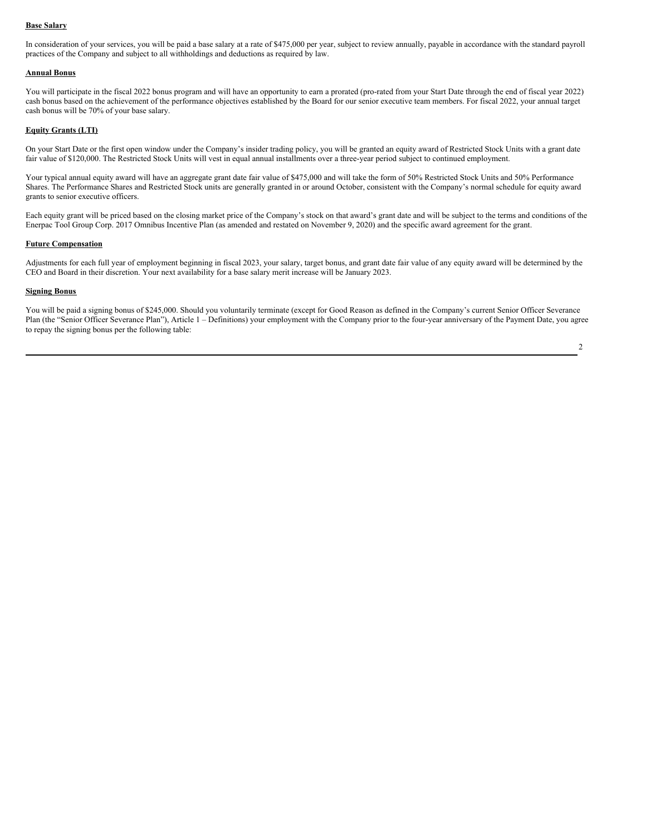#### **Base Salary**

In consideration of your services, you will be paid a base salary at a rate of \$475,000 per year, subject to review annually, payable in accordance with the standard payroll practices of the Company and subject to all withholdings and deductions as required by law.

#### **Annual Bonus**

You will participate in the fiscal 2022 bonus program and will have an opportunity to earn a prorated (pro-rated from your Start Date through the end of fiscal year 2022) cash bonus based on the achievement of the performance objectives established by the Board for our senior executive team members. For fiscal 2022, your annual target cash bonus will be 70% of your base salary.

#### **Equity Grants (LTI)**

On your Start Date or the first open window under the Company's insider trading policy, you will be granted an equity award of Restricted Stock Units with a grant date fair value of \$120,000. The Restricted Stock Units will vest in equal annual installments over a three-year period subject to continued employment.

Your typical annual equity award will have an aggregate grant date fair value of \$475,000 and will take the form of 50% Restricted Stock Units and 50% Performance Shares. The Performance Shares and Restricted Stock units are generally granted in or around October, consistent with the Company's normal schedule for equity award grants to senior executive officers.

Each equity grant will be priced based on the closing market price of the Company's stock on that award's grant date and will be subject to the terms and conditions of the Enerpac Tool Group Corp. 2017 Omnibus Incentive Plan (as amended and restated on November 9, 2020) and the specific award agreement for the grant.

#### **Future Compensation**

Adjustments for each full year of employment beginning in fiscal 2023, your salary, target bonus, and grant date fair value of any equity award will be determined by the CEO and Board in their discretion. Your next availability for a base salary merit increase will be January 2023.

#### **Signing Bonus**

You will be paid a signing bonus of \$245,000. Should you voluntarily terminate (except for Good Reason as defined in the Company's current Senior Officer Severance Plan (the "Senior Officer Severance Plan"), Article 1 – Definitions) your employment with the Company prior to the four-year anniversary of the Payment Date, you agree to repay the signing bonus per the following table: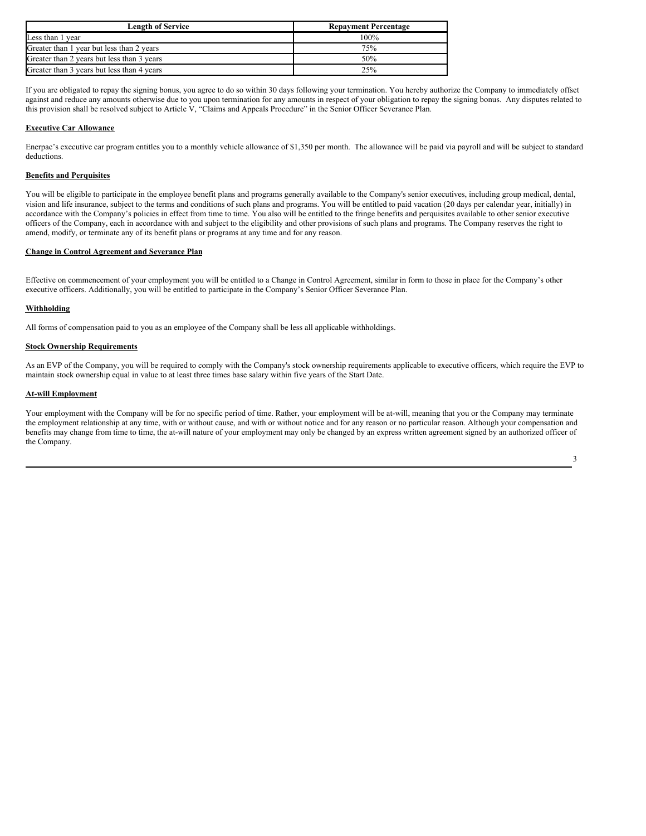<span id="page-6-0"></span>

| <b>Length of Service</b>                   | <b>Repayment Percentage</b> |
|--------------------------------------------|-----------------------------|
| Less than 1 year                           | 100%                        |
| Greater than 1 year but less than 2 years  | 75%                         |
| Greater than 2 years but less than 3 years | 50%                         |
| Greater than 3 years but less than 4 years | 25%                         |

If you are obligated to repay the signing bonus, you agree to do so within 30 days following your termination. You hereby authorize the Company to immediately offset against and reduce any amounts otherwise due to you upon termination for any amounts in respect of your obligation to repay the signing bonus. Any disputes related to this provision shall be resolved subject to Article V, "Claims and Appeals Procedure" in the Senior Officer Severance Plan.

## **Executive Car Allowance**

Enerpac's executive car program entitles you to a monthly vehicle allowance of \$1,350 per month. The allowance will be paid via payroll and will be subject to standard deductions.

# **Benefits and Perquisites**

You will be eligible to participate in the employee benefit plans and programs generally available to the Company's senior executives, including group medical, dental, vision and life insurance, subject to the terms and conditions of such plans and programs. You will be entitled to paid vacation (20 days per calendar year, initially) in accordance with the Company's policies in effect from time to time. You also will be entitled to the fringe benefits and perquisites available to other senior executive officers of the Company, each in accordance with and subject to the eligibility and other provisions of such plans and programs. The Company reserves the right to amend, modify, or terminate any of its benefit plans or programs at any time and for any reason.

### **Change in Control Agreement and Severance Plan**

Effective on commencement of your employment you will be entitled to a Change in Control Agreement, similar in form to those in place for the Company's other executive officers. Additionally, you will be entitled to participate in the Company's Senior Officer Severance Plan.

## **Withholding**

All forms of compensation paid to you as an employee of the Company shall be less all applicable withholdings.

# **Stock Ownership Requirements**

As an EVP of the Company, you will be required to comply with the Company's stock ownership requirements applicable to executive officers, which require the EVP to maintain stock ownership equal in value to at least three times base salary within five years of the Start Date.

## **At-will Employment**

Your employment with the Company will be for no specific period of time. Rather, your employment will be at-will, meaning that you or the Company may terminate the employment relationship at any time, with or without cause, and with or without notice and for any reason or no particular reason. Although your compensation and benefits may change from time to time, the at-will nature of your employment may only be changed by an express written agreement signed by an authorized officer of the Company.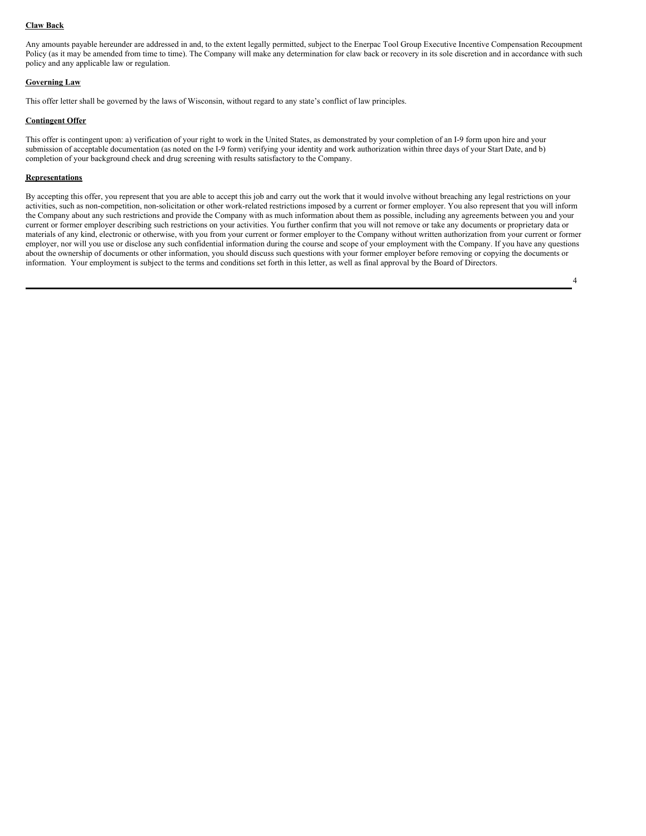#### **Claw Back**

Any amounts payable hereunder are addressed in and, to the extent legally permitted, subject to the Enerpac Tool Group Executive Incentive Compensation Recoupment Policy (as it may be amended from time to time). The Company will make any determination for claw back or recovery in its sole discretion and in accordance with such policy and any applicable law or regulation.

## **Governing Law**

This offer letter shall be governed by the laws of Wisconsin, without regard to any state's conflict of law principles.

## **Contingent Offer**

This offer is contingent upon: a) verification of your right to work in the United States, as demonstrated by your completion of an I-9 form upon hire and your submission of acceptable documentation (as noted on the I-9 form) verifying your identity and work authorization within three days of your Start Date, and b) completion of your background check and drug screening with results satisfactory to the Company.

## **Representations**

By accepting this offer, you represent that you are able to accept this job and carry out the work that it would involve without breaching any legal restrictions on your activities, such as non-competition, non-solicitation or other work-related restrictions imposed by a current or former employer. You also represent that you will inform the Company about any such restrictions and provide the Company with as much information about them as possible, including any agreements between you and your current or former employer describing such restrictions on your activities. You further confirm that you will not remove or take any documents or proprietary data or materials of any kind, electronic or otherwise, with you from your current or former employer to the Company without written authorization from your current or former employer, nor will you use or disclose any such confidential information during the course and scope of your employment with the Company. If you have any questions about the ownership of documents or other information, you should discuss such questions with your former employer before removing or copying the documents or information. Your employment is subject to the terms and conditions set forth in this letter, as well as final approval by the Board of Directors.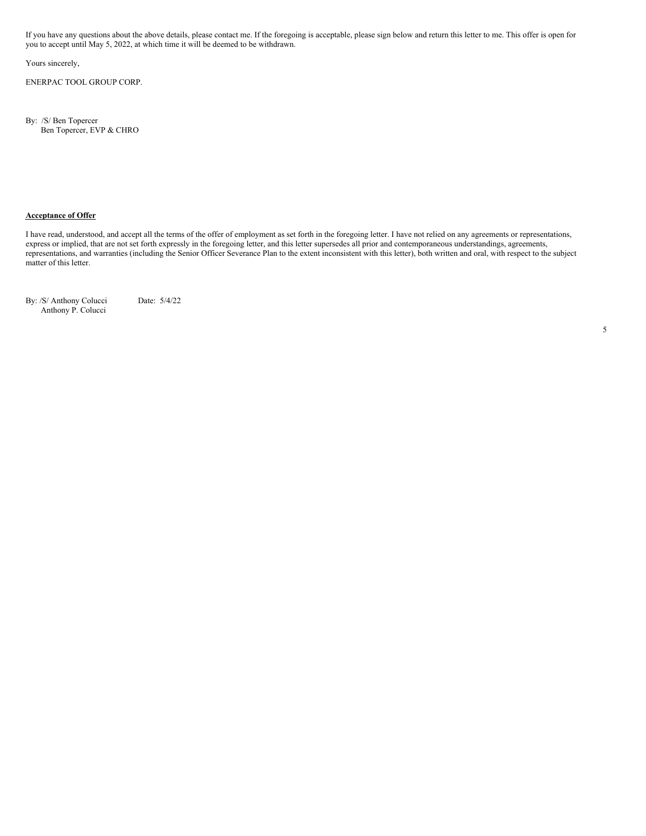If you have any questions about the above details, please contact me. If the foregoing is acceptable, please sign below and return this letter to me. This offer is open for you to accept until May 5, 2022, at which time it will be deemed to be withdrawn.

Yours sincerely,

ENERPAC TOOL GROUP CORP.

By: /S/ Ben Topercer Ben Topercer, EVP & CHRO

# **Acceptance of Offer**

I have read, understood, and accept all the terms of the offer of employment as set forth in the foregoing letter. I have not relied on any agreements or representations, express or implied, that are not set forth expressly in the foregoing letter, and this letter supersedes all prior and contemporaneous understandings, agreements, representations, and warranties (including the Senior Officer Severance Plan to the extent inconsistent with this letter), both written and oral, with respect to the subject matter of this letter.

By: /S/ Anthony Colucci Date: 5/4/22 Anthony P. Colucci